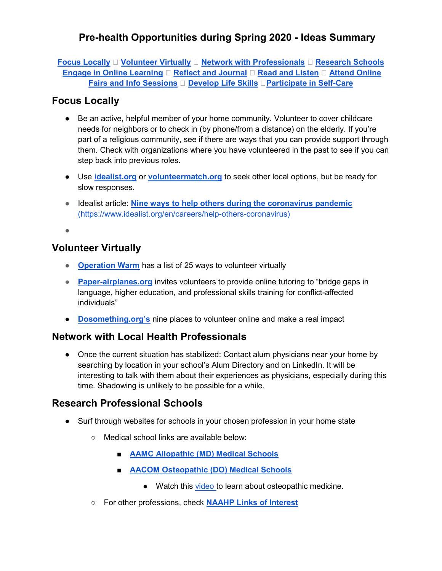Focus Locally  $\Box$  Volunteer Virtually  $\Box$  Network with Professionals  $\Box$  Research Schools Engage in Online Learning  $\Box$  Reflect and Journal  $\Box$  Read and Listen  $\Box$  Attend Online Fairs and Info Sessions ⚙ Develop Life Skills ⚙Participate in Self-Care

#### Focus Locally

- Be an active, helpful member of your home community. Volunteer to cover childcare needs for neighbors or to check in (by phone/from a distance) on the elderly. If you're part of a religious community, see if there are ways that you can provide support through them. Check with organizations where you have volunteered in the past to see if you can step back into previous roles.
- Use idealist.org or volunteermatch.org to seek other local options, but be ready for slow responses.
- Idealist article: Nine ways to help others during the coronavirus pandemic (https://www.idealist.org/en/careers/help-others-coronavirus)

●

#### Volunteer Virtually

- Operation Warm has a list of 25 ways to volunteer virtually
- Paper-airplanes.org invites volunteers to provide online tutoring to "bridge gaps in language, higher education, and professional skills training for conflict-affected individuals"
- **Dosomething.org's** nine places to volunteer online and make a real impact

### Network with Local Health Professionals

● Once the current situation has stabilized: Contact alum physicians near your home by searching by location in your school's Alum Directory and on LinkedIn. It will be interesting to talk with them about their experiences as physicians, especially during this time. Shadowing is unlikely to be possible for a while.

#### Research Professional Schools

- Surf through websites for schools in your chosen profession in your home state
	- Medical school links are available below:
		- **AAMC Allopathic (MD) Medical Schools**
		- **AACOM Osteopathic (DO) Medical Schools** 
			- Watch this video to learn about osteopathic medicine.
	- For other professions, check NAAHP Links of Interest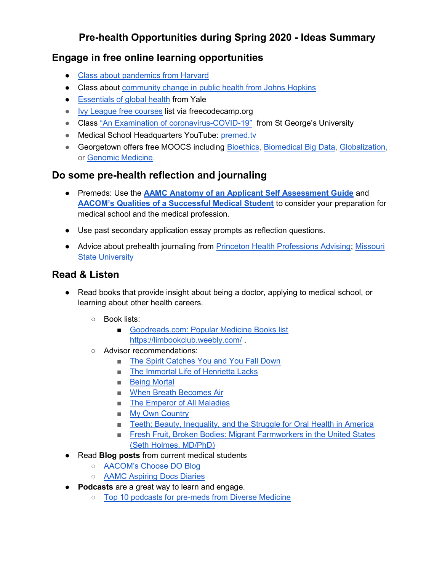#### Engage in free online learning opportunities

- Class about pandemics from Harvard
- Class about community change in public health from Johns Hopkins
- Essentials of global health from Yale
- Ivy League free courses list via freecodecamp.org
- Class "An Examination of coronavirus-COVID-19" from St George's University
- Medical School Headquarters YouTube: premed.tv
- Georgetown offers free MOOCS including Bioethics, Biomedical Big Data, Globalization, or Genomic Medicine.

# Do some pre-health reflection and journaling

- Premeds: Use the AAMC Anatomy of an Applicant Self Assessment Guide and AACOM's Qualities of a Successful Medical Student to consider your preparation for medical school and the medical profession.
- Use past secondary application essay prompts as reflection questions.
- Advice about prehealth journaling from Princeton Health Professions Advising; Missouri State University

### Read & Listen

- Read books that provide insight about being a doctor, applying to medical school, or learning about other health careers.
	- Book lists:
		- Goodreads.com: Popular Medicine Books list https://limbookclub.weebly.com/ .
	- Advisor recommendations:
		- The Spirit Catches You and You Fall Down
		- The Immortal Life of Henrietta Lacks
		- Being Mortal
		- When Breath Becomes Air
		- The Emperor of All Maladies
		- My Own Country
		- Teeth: Beauty, Inequality, and the Struggle for Oral Health in America
		- Fresh Fruit, Broken Bodies: Migrant Farmworkers in the United States (Seth Holmes, MD/PhD)
- Read **Blog posts** from current medical students
	- AACOM's Choose DO Blog
	- AAMC Aspiring Docs Diaries
- Podcasts are a great way to learn and engage.
	- Top 10 podcasts for pre-meds from Diverse Medicine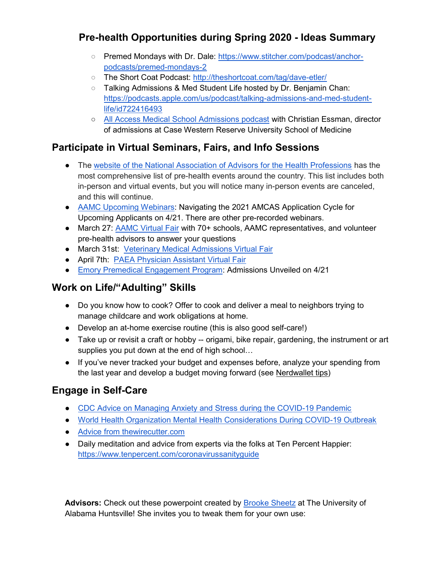- Premed Mondays with Dr. Dale: https://www.stitcher.com/podcast/anchorpodcasts/premed-mondays-2
- The Short Coat Podcast: http://theshortcoat.com/tag/dave-etler/
- o Talking Admissions & Med Student Life hosted by Dr. Benjamin Chan: https://podcasts.apple.com/us/podcast/talking-admissions-and-med-studentlife/id722416493
- All Access Medical School Admissions podcast with Christian Essman, director of admissions at Case Western Reserve University School of Medicine

# Participate in Virtual Seminars, Fairs, and Info Sessions

- The website of the National Association of Advisors for the Health Professions has the most comprehensive list of pre-health events around the country. This list includes both in-person and virtual events, but you will notice many in-person events are canceled, and this will continue.
- AAMC Upcoming Webinars: Navigating the 2021 AMCAS Application Cycle for Upcoming Applicants on 4/21. There are other pre-recorded webinars.
- March 27: AAMC Virtual Fair with 70+ schools, AAMC representatives, and volunteer pre-health advisors to answer your questions
- March 31st: Veterinary Medical Admissions Virtual Fair
- April 7th: PAEA Physician Assistant Virtual Fair
- Emory Premedical Engagement Program: Admissions Unveiled on 4/21

# Work on Life/"Adulting" Skills

- Do you know how to cook? Offer to cook and deliver a meal to neighbors trying to manage childcare and work obligations at home.
- Develop an at-home exercise routine (this is also good self-care!)
- Take up or revisit a craft or hobby -- origami, bike repair, gardening, the instrument or art supplies you put down at the end of high school…
- If you've never tracked your budget and expenses before, analyze your spending from the last year and develop a budget moving forward (see Nerdwallet tips)

### Engage in Self-Care

- CDC Advice on Managing Anxiety and Stress during the COVID-19 Pandemic
- World Health Organization Mental Health Considerations During COVID-19 Outbreak
- Advice from thewirecutter.com
- Daily meditation and advice from experts via the folks at Ten Percent Happier: https://www.tenpercent.com/coronavirussanityguide

Advisors: Check out these powerpoint created by Brooke Sheetz at The University of Alabama Huntsville! She invites you to tweak them for your own use: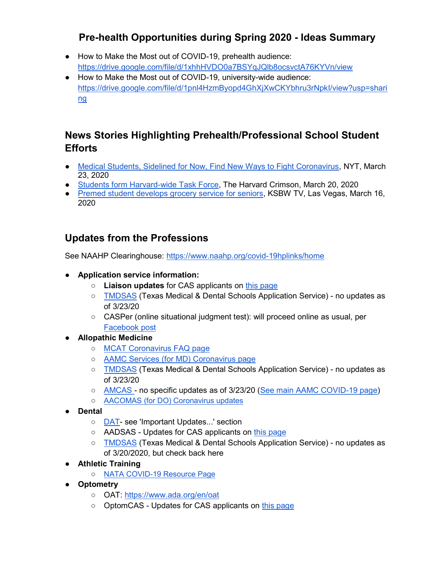- How to Make the Most out of COVID-19, prehealth audience: https://drive.google.com/file/d/1xhhHVDO0a7BSYqJQlb8ocsvctA76KYVn/view
- How to Make the Most out of COVID-19, university-wide audience: https://drive.google.com/file/d/1pnl4HzmByopd4GhXjXwCKYbhru3rNpkI/view?usp=shari ng

# News Stories Highlighting Prehealth/Professional School Student **Efforts**

- Medical Students, Sidelined for Now, Find New Ways to Fight Coronavirus, NYT, March 23, 2020
- Students form Harvard-wide Task Force, The Harvard Crimson, March 20, 2020
- Premed student develops grocery service for seniors, KSBW TV, Las Vegas, March 16, 2020

### Updates from the Professions

See NAAHP Clearinghouse: https://www.naahp.org/covid-19hplinks/home

- Application service information:
	- Liaison updates for CAS applicants on this page
	- TMDSAS (Texas Medical & Dental Schools Application Service) no updates as of 3/23/20
	- CASPer (online situational judgment test): will proceed online as usual, per Facebook post
- Allopathic Medicine
	- MCAT Coronavirus FAQ page
	- AAMC Services (for MD) Coronavirus page
	- TMDSAS (Texas Medical & Dental Schools Application Service) no updates as of 3/23/20
	- AMCAS no specific updates as of 3/23/20 (See main AAMC COVID-19 page)
	- AACOMAS (for DO) Coronavirus updates
- Dental
	- DAT- see 'Important Updates...' section
	- AADSAS Updates for CAS applicants on this page
	- TMDSAS (Texas Medical & Dental Schools Application Service) no updates as of 3/20/2020, but check back here
- Athletic Training
	- NATA COVID-19 Resource Page
- Optometry
	- OAT: https://www.ada.org/en/oat
	- OptomCAS Updates for CAS applicants on this page